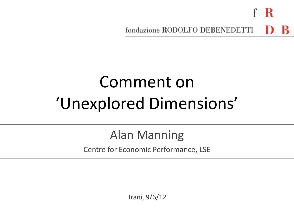fondazione RODOLFO DEBENEDETTI

# Comment on 'Unexplored Dimensions'

### Alan Manning

Centre for Economic Performance, LSE

Trani, 9/6/12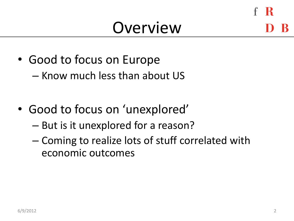### **Overview**

- Good to focus on Europe
	- Know much less than about US
- Good to focus on 'unexplored'
	- But is it unexplored for a reason?
	- Coming to realize lots of stuff correlated with economic outcomes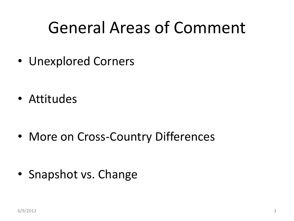## General Areas of Comment

• Unexplored Corners

• Attitudes

• More on Cross-Country Differences

• Snapshot vs. Change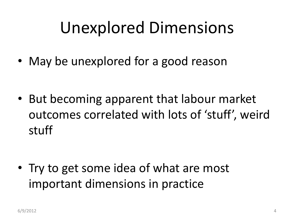## Unexplored Dimensions

• May be unexplored for a good reason

• But becoming apparent that labour market outcomes correlated with lots of 'stuff', weird stuff

• Try to get some idea of what are most important dimensions in practice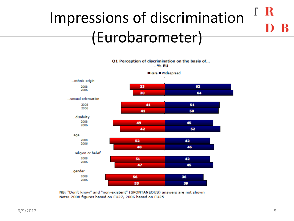### -R Impressions of discrimination (Eurobarometer)

Q1 Perception of discrimination on the basis of...

- % EU



NB: "Don't know" and "non-existent" (SPONTANEOUS) answers are not shown Note: 2008 figures based on EU27, 2006 based on EU25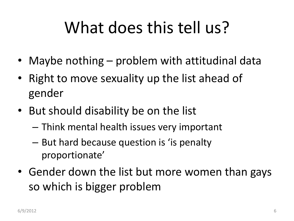# What does this tell us?

- Maybe nothing problem with attitudinal data
- Right to move sexuality up the list ahead of gender
- But should disability be on the list
	- Think mental health issues very important
	- But hard because question is 'is penalty proportionate'
- Gender down the list but more women than gays so which is bigger problem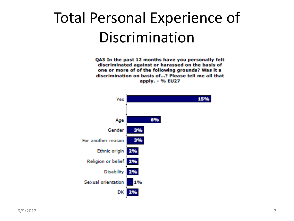### Total Personal Experience of Discrimination

QA3 In the past 12 months have you personally felt discriminated against or harassed on the basis of one or more of of the following grounds? Was it a discrimination on basis of...? Please tell me all that apply. - % EU27

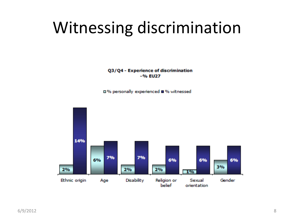## Witnessing discrimination

Q3/Q4 - Experience of discrimination  $-96$  EU27

□% personally experienced ■% witnessed

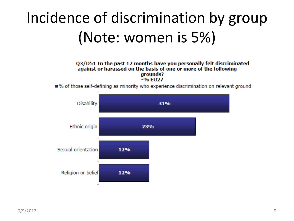## Incidence of discrimination by group (Note: women is 5%)

#### Q3/D51 In the past 12 months have you personally felt discriminated against or harassed on the basis of one or more of the following arounds?  $-9/6$  FU27

■% of those self-defining as minority who experience discrimination on relevant ground

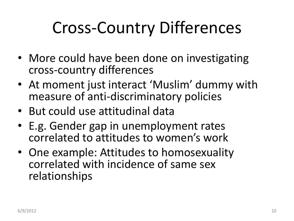# Cross-Country Differences

- More could have been done on investigating cross-country differences
- At moment just interact 'Muslim' dummy with measure of anti-discriminatory policies
- But could use attitudinal data
- E.g. Gender gap in unemployment rates correlated to attitudes to women's work
- One example: Attitudes to homosexuality correlated with incidence of same sex relationships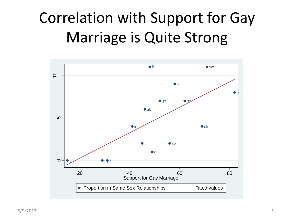### Correlation with Support for Gay Marriage is Quite Strong

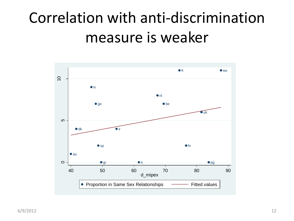### Correlation with anti-discrimination measure is weaker

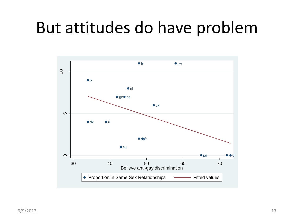### But attitudes do have problem

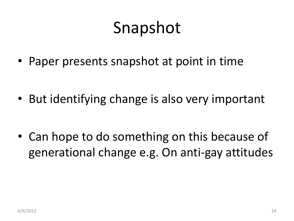## Snapshot

• Paper presents snapshot at point in time

• But identifying change is also very important

• Can hope to do something on this because of generational change e.g. On anti-gay attitudes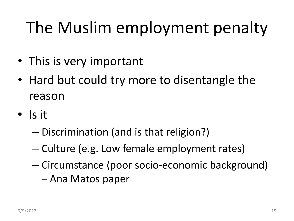# The Muslim employment penalty

- This is very important
- Hard but could try more to disentangle the reason
- Is it
	- Discrimination (and is that religion?)
	- Culture (e.g. Low female employment rates)
	- Circumstance (poor socio-economic background)
		- Ana Matos paper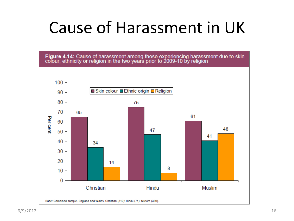# Cause of Harassment in UK

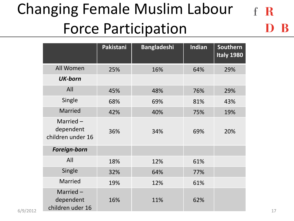### Changing Female Muslim Labour  $f \, R$ Force Participation

|                                                       | Pakistani | <b>Bangladeshi</b> | Indian | Southern<br><b>Italy 1980</b> |
|-------------------------------------------------------|-----------|--------------------|--------|-------------------------------|
| All Women                                             | 25%       | 16%                | 64%    | 29%                           |
| <b>UK-born</b>                                        |           |                    |        |                               |
| All                                                   | 45%       | 48%                | 76%    | 29%                           |
| Single                                                | 68%       | 69%                | 81%    | 43%                           |
| Married                                               | 42%       | 40%                | 75%    | 19%                           |
| Married $-$<br>dependent<br>children under 16         | 36%       | 34%                | 69%    | 20%                           |
| Foreign-born                                          |           |                    |        |                               |
| All                                                   | 18%       | 12%                | 61%    |                               |
| Single                                                | 32%       | 64%                | 77%    |                               |
| Married                                               | 19%       | 12%                | 61%    |                               |
| Married-<br>dependent<br>children uder 16<br>6/9/2012 | 16%       | 11%                | 62%    |                               |